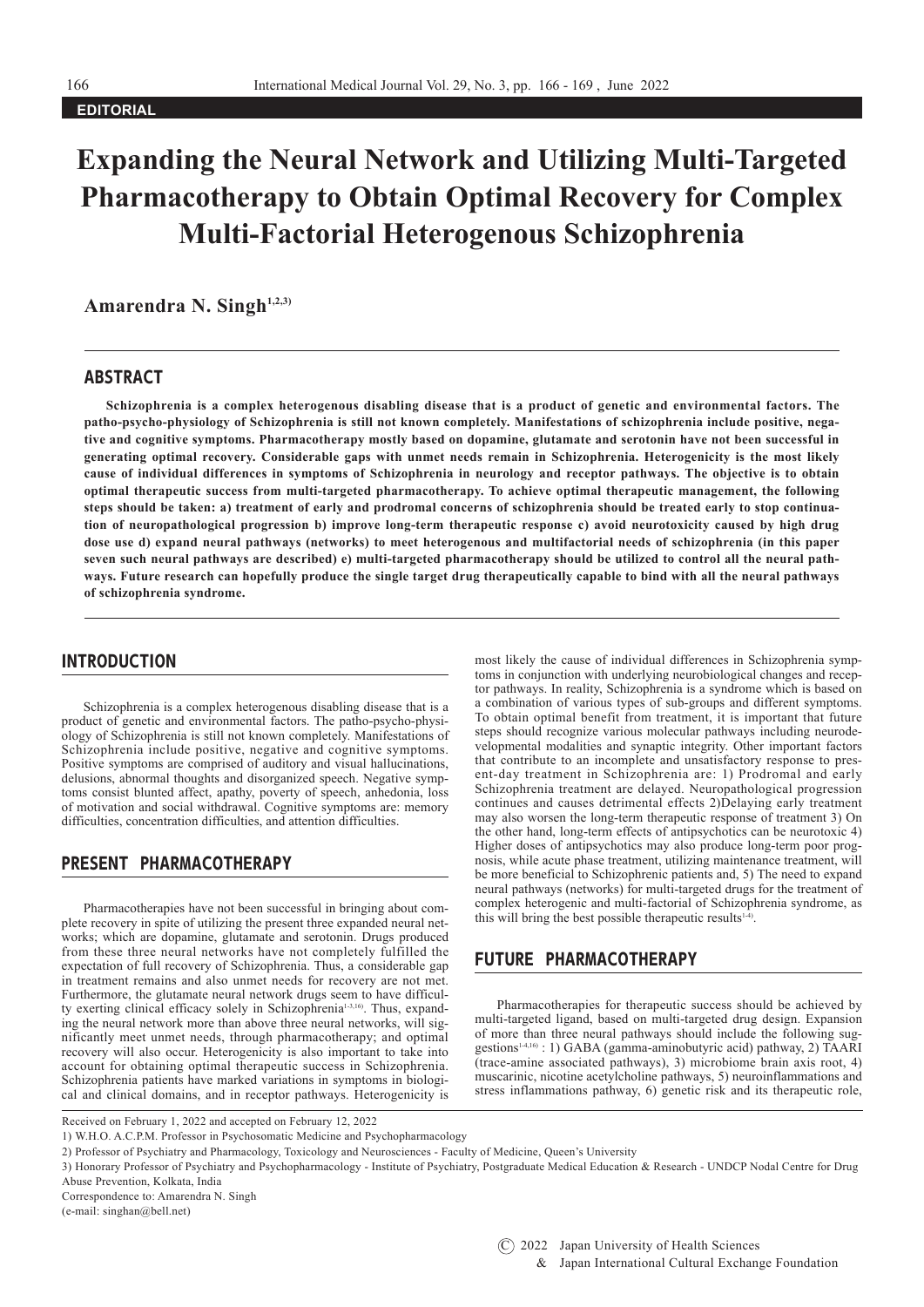**EDITORIAL**

# **Expanding the Neural Network and Utilizing Multi-Targeted Pharmacotherapy to Obtain Optimal Recovery for Complex Multi-Factorial Heterogenous Schizophrenia**

Amarendra N. Singh<sup>1,2,3)</sup>

### ABSTRACT

**Schizophrenia is a complex heterogenous disabling disease that is a product of genetic and environmental factors. The patho-psycho-physiology of Schizophrenia is still not known completely. Manifestations of schizophrenia include positive, negative and cognitive symptoms. Pharmacotherapy mostly based on dopamine, glutamate and serotonin have not been successful in generating optimal recovery. Considerable gaps with unmet needs remain in Schizophrenia. Heterogenicity is the most likely cause of individual differences in symptoms of Schizophrenia in neurology and receptor pathways. The objective is to obtain optimal therapeutic success from multi-targeted pharmacotherapy. To achieve optimal therapeutic management, the following steps should be taken: a) treatment of early and prodromal concerns of schizophrenia should be treated early to stop continuation of neuropathological progression b) improve long-term therapeutic response c) avoid neurotoxicity caused by high drug dose use d) expand neural pathways (networks) to meet heterogenous and multifactorial needs of schizophrenia (in this paper seven such neural pathways are described) e) multi-targeted pharmacotherapy should be utilized to control all the neural pathways. Future research can hopefully produce the single target drug therapeutically capable to bind with all the neural pathways of schizophrenia syndrome.** 

### INTRODUCTION

Schizophrenia is a complex heterogenous disabling disease that is a product of genetic and environmental factors. The patho-psycho-physiology of Schizophrenia is still not known completely. Manifestations of Schizophrenia include positive, negative and cognitive symptoms. Positive symptoms are comprised of auditory and visual hallucinations, delusions, abnormal thoughts and disorganized speech. Negative symptoms consist blunted affect, apathy, poverty of speech, anhedonia, loss of motivation and social withdrawal. Cognitive symptoms are: memory difficulties, concentration difficulties, and attention difficulties.

## PRESENT PHARMACOTHERAPY

Pharmacotherapies have not been successful in bringing about complete recovery in spite of utilizing the present three expanded neural networks; which are dopamine, glutamate and serotonin. Drugs produced from these three neural networks have not completely fulfilled the expectation of full recovery of Schizophrenia. Thus, a considerable gap in treatment remains and also unmet needs for recovery are not met. Furthermore, the glutamate neural network drugs seem to have difficulty exerting clinical efficacy solely in Schizophrenia<sup>1-3,16</sup>). Thus, expanding the neural network more than above three neural networks, will significantly meet unmet needs, through pharmacotherapy; and optimal recovery will also occur. Heterogenicity is also important to take into account for obtaining optimal therapeutic success in Schizophrenia. Schizophrenia patients have marked variations in symptoms in biological and clinical domains, and in receptor pathways. Heterogenicity is

most likely the cause of individual differences in Schizophrenia symptoms in conjunction with underlying neurobiological changes and receptor pathways. In reality, Schizophrenia is a syndrome which is based on a combination of various types of sub-groups and different symptoms. To obtain optimal benefit from treatment, it is important that future steps should recognize various molecular pathways including neurodevelopmental modalities and synaptic integrity. Other important factors that contribute to an incomplete and unsatisfactory response to present-day treatment in Schizophrenia are: 1) Prodromal and early Schizophrenia treatment are delayed. Neuropathological progression continues and causes detrimental effects 2)Delaying early treatment may also worsen the long-term therapeutic response of treatment 3) On the other hand, long-term effects of antipsychotics can be neurotoxic 4) Higher doses of antipsychotics may also produce long-term poor prognosis, while acute phase treatment, utilizing maintenance treatment, will be more beneficial to Schizophrenic patients and, 5) The need to expand neural pathways (networks) for multi-targeted drugs for the treatment of complex heterogenic and multi-factorial of Schizophrenia syndrome, as this will bring the best possible therapeutic results $14$ .

## FUTURE PHARMACOTHERAPY

Pharmacotherapies for therapeutic success should be achieved by multi-targeted ligand, based on multi-targeted drug design. Expansion of more than three neural pathways should include the following sug- $\frac{1}{2}$  gestions<sup>14,16</sup>) : 1) GABA (gamma-aminobutyric acid) pathway, 2) TAARI (trace-amine associated pathways), 3) microbiome brain axis root, 4) muscarinic, nicotine acetylcholine pathways, 5) neuroinflammations and stress inflammations pathway, 6) genetic risk and its therapeutic role,

Received on February 1, 2022 and accepted on February 12, 2022

<sup>1)</sup> W.H.O. A.C.P.M. Professor in Psychosomatic Medicine and Psychopharmacology

<sup>2)</sup> Professor of Psychiatry and Pharmacology, Toxicology and Neurosciences - Faculty of Medicine, Queen's University

<sup>3)</sup> Honorary Professor of Psychiatry and Psychopharmacology - Institute of Psychiatry, Postgraduate Medical Education & Research - UNDCP Nodal Centre for Drug Abuse Prevention, Kolkata, India

Correspondence to: Amarendra N. Singh

<sup>(</sup>e-mail: singhan@bell.net)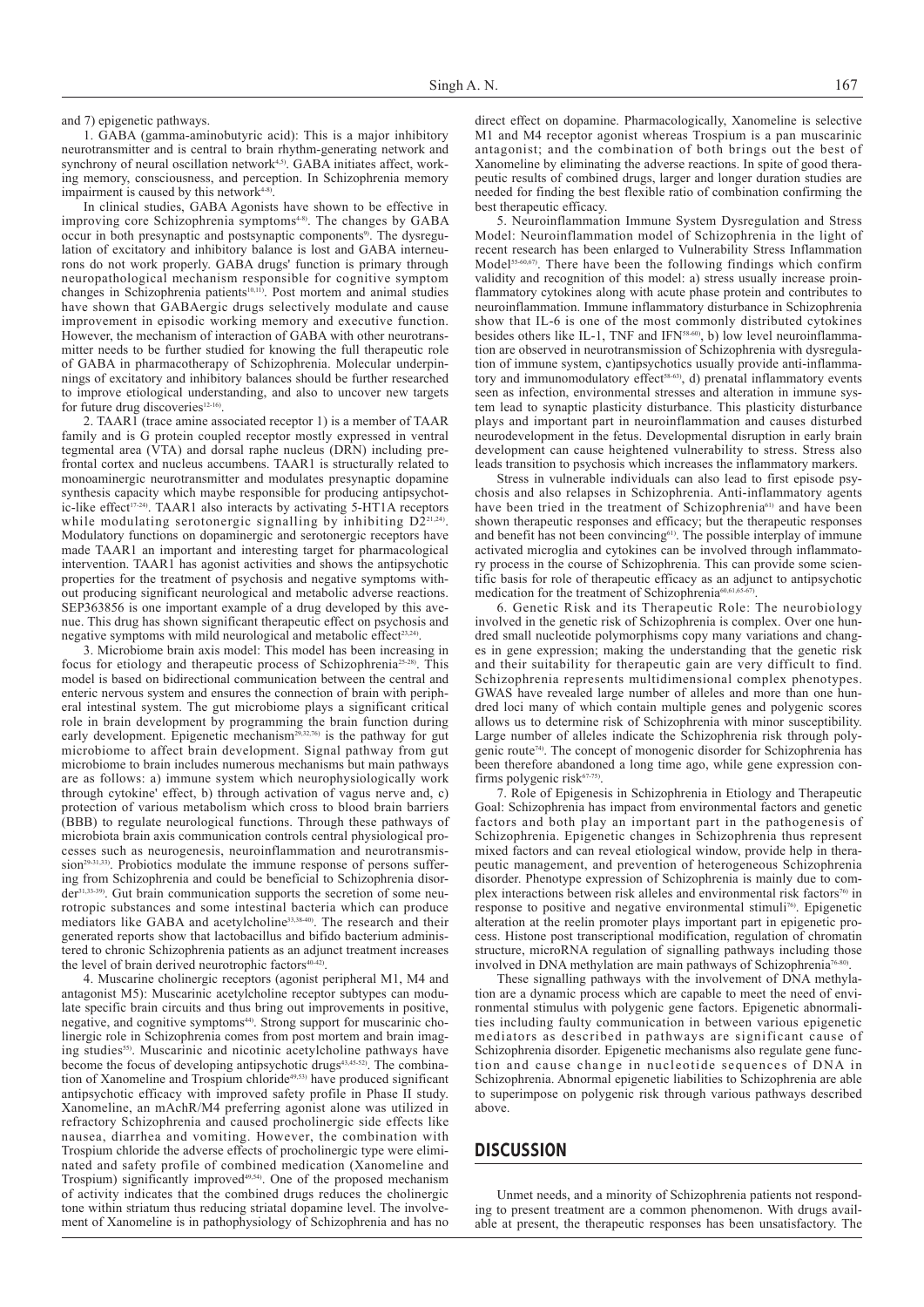and 7) epigenetic pathways.

1. GABA (gamma-aminobutyric acid): This is a major inhibitory neurotransmitter and is central to brain rhythm-generating network and synchrony of neural oscillation network<sup>4,5)</sup>. GABA initiates affect, working memory, consciousness, and perception. In Schizophrenia memory impairment is caused by this network<sup>4-8</sup>

In clinical studies, GABA Agonists have shown to be effective in improving core Schizophrenia symptoms<sup>4-8)</sup>. The changes by GABA occur in both presynaptic and postsynaptic components<sup>9)</sup>. The dysregulation of excitatory and inhibitory balance is lost and GABA interneurons do not work properly. GABA drugs' function is primary through neuropathological mechanism responsible for cognitive symptom changes in Schizophrenia patients<sup>10,11)</sup>. Post mortem and animal studies have shown that GABAergic drugs selectively modulate and cause improvement in episodic working memory and executive function. However, the mechanism of interaction of GABA with other neurotransmitter needs to be further studied for knowing the full therapeutic role of GABA in pharmacotherapy of Schizophrenia. Molecular underpinnings of excitatory and inhibitory balances should be further researched to improve etiological understanding, and also to uncover new targets for future drug discoveries<sup>12-16</sup>).

2. TAAR1 (trace amine associated receptor 1) is a member of TAAR family and is G protein coupled receptor mostly expressed in ventral tegmental area (VTA) and dorsal raphe nucleus (DRN) including prefrontal cortex and nucleus accumbens. TAAR1 is structurally related to monoaminergic neurotransmitter and modulates presynaptic dopamine synthesis capacity which maybe responsible for producing antipsychotic-like effect<sup>17-24)</sup>. TAAR1 also interacts by activating 5-HT1A receptors while modulating serotonergic signalling by inhibiting  $D2^{21,24}$ . Modulatory functions on dopaminergic and serotonergic receptors have made TAAR1 an important and interesting target for pharmacological intervention. TAAR1 has agonist activities and shows the antipsychotic properties for the treatment of psychosis and negative symptoms without producing significant neurological and metabolic adverse reactions. SEP363856 is one important example of a drug developed by this avenue. This drug has shown significant therapeutic effect on psychosis and negative symptoms with mild neurological and metabolic effect<sup>23,24)</sup>.

3. Microbiome brain axis model: This model has been increasing in focus for etiology and therapeutic process of Schizophrenia<sup>25-28)</sup>. This model is based on bidirectional communication between the central and enteric nervous system and ensures the connection of brain with peripheral intestinal system. The gut microbiome plays a significant critical role in brain development by programming the brain function during early development. Epigenetic mechanism<sup>29,32,76</sup> is the pathway for gut microbiome to affect brain development. Signal pathway from gut microbiome to brain includes numerous mechanisms but main pathways are as follows: a) immune system which neurophysiologically work through cytokine' effect, b) through activation of vagus nerve and, c) protection of various metabolism which cross to blood brain barriers (BBB) to regulate neurological functions. Through these pathways of microbiota brain axis communication controls central physiological processes such as neurogenesis, neuroinflammation and neurotransmission<sup>29.31,33</sup>). Probiotics modulate the immune response of persons suffering from Schizophrenia and could be beneficial to Schizophrenia disorder31,33-39). Gut brain communication supports the secretion of some neurotropic substances and some intestinal bacteria which can produce mediators like GABA and acetylcholine<sup>33,38-40</sup>). The research and their generated reports show that lactobacillus and bifido bacterium administered to chronic Schizophrenia patients as an adjunct treatment increases the level of brain derived neurotrophic factors<sup>40-40</sup>

4. Muscarine cholinergic receptors (agonist peripheral M1, M4 and antagonist M5): Muscarinic acetylcholine receptor subtypes can modulate specific brain circuits and thus bring out improvements in positive, negative, and cognitive symptoms<sup>44)</sup>. Strong support for muscarinic cholinergic role in Schizophrenia comes from post mortem and brain imaging studies<sup>55)</sup>. Muscarinic and nicotinic acetylcholine pathways have become the focus of developing antipsychotic drugs<sup>43,45-52)</sup>. The combination of Xanomeline and Trospium chloride<sup>49,53)</sup> have produced significant antipsychotic efficacy with improved safety profile in Phase II study. Xanomeline, an mAchR/M4 preferring agonist alone was utilized in refractory Schizophrenia and caused procholinergic side effects like nausea, diarrhea and vomiting. However, the combination with Trospium chloride the adverse effects of procholinergic type were eliminated and safety profile of combined medication (Xanomeline and Trospium) significantly improved<sup>49,54</sup>). One of the proposed mechanism of activity indicates that the combined drugs reduces the cholinergic tone within striatum thus reducing striatal dopamine level. The involvement of Xanomeline is in pathophysiology of Schizophrenia and has no

direct effect on dopamine. Pharmacologically, Xanomeline is selective M1 and M4 receptor agonist whereas Trospium is a pan muscarinic antagonist; and the combination of both brings out the best of Xanomeline by eliminating the adverse reactions. In spite of good therapeutic results of combined drugs, larger and longer duration studies are needed for finding the best flexible ratio of combination confirming the best therapeutic efficacy.

5. Neuroinflammation Immune System Dysregulation and Stress Model: Neuroinflammation model of Schizophrenia in the light of recent research has been enlarged to Vulnerability Stress Inflammation Model<sup>55-60,67)</sup>. There have been the following findings which confirm validity and recognition of this model: a) stress usually increase proinflammatory cytokines along with acute phase protein and contributes to neuroinflammation. Immune inflammatory disturbance in Schizophrenia show that IL-6 is one of the most commonly distributed cytokines besides others like IL-1, TNF and IFN<sup>58-60</sup>, b) low level neuroinflammation are observed in neurotransmission of Schizophrenia with dysregulation of immune system, c)antipsychotics usually provide anti-inflammatory and immunomodulatory effect<sup>58-63)</sup>, d) prenatal inflammatory events seen as infection, environmental stresses and alteration in immune system lead to synaptic plasticity disturbance. This plasticity disturbance plays and important part in neuroinflammation and causes disturbed neurodevelopment in the fetus. Developmental disruption in early brain development can cause heightened vulnerability to stress. Stress also leads transition to psychosis which increases the inflammatory markers.

Stress in vulnerable individuals can also lead to first episode psychosis and also relapses in Schizophrenia. Anti-inflammatory agents have been tried in the treatment of Schizophrenia<sup>61)</sup> and have been shown therapeutic responses and efficacy; but the therapeutic responses and benefit has not been convincing<sup>61)</sup>. The possible interplay of immune activated microglia and cytokines can be involved through inflammatory process in the course of Schizophrenia. This can provide some scientific basis for role of therapeutic efficacy as an adjunct to antipsychotic medication for the treatment of Schizophrenia<sup>60,61,6</sup>

6. Genetic Risk and its Therapeutic Role: The neurobiology involved in the genetic risk of Schizophrenia is complex. Over one hundred small nucleotide polymorphisms copy many variations and changes in gene expression; making the understanding that the genetic risk and their suitability for therapeutic gain are very difficult to find. Schizophrenia represents multidimensional complex phenotypes. GWAS have revealed large number of alleles and more than one hundred loci many of which contain multiple genes and polygenic scores allows us to determine risk of Schizophrenia with minor susceptibility. Large number of alleles indicate the Schizophrenia risk through polygenic route<sup>74</sup>. The concept of monogenic disorder for Schizophrenia has been therefore abandoned a long time ago, while gene expression confirms polygenic risk<sup>67-7</sup>

7. Role of Epigenesis in Schizophrenia in Etiology and Therapeutic Goal: Schizophrenia has impact from environmental factors and genetic factors and both play an important part in the pathogenesis of Schizophrenia. Epigenetic changes in Schizophrenia thus represent mixed factors and can reveal etiological window, provide help in therapeutic management, and prevention of heterogeneous Schizophrenia disorder. Phenotype expression of Schizophrenia is mainly due to complex interactions between risk alleles and environmental risk factors<sup>76)</sup> in response to positive and negative environmental stimuli<sup>76</sup>. Epigenetic alteration at the reelin promoter plays important part in epigenetic process. Histone post transcriptional modification, regulation of chromatin structure, microRNA regulation of signalling pathways including those involved in DNA methylation are main pathways of Schizophrenia<sup>76</sup>

These signalling pathways with the involvement of DNA methylation are a dynamic process which are capable to meet the need of environmental stimulus with polygenic gene factors. Epigenetic abnormalities including faulty communication in between various epigenetic mediators as described in pathways are significant cause of Schizophrenia disorder. Epigenetic mechanisms also regulate gene function and cause change in nucleotide sequences of DNA in Schizophrenia. Abnormal epigenetic liabilities to Schizophrenia are able to superimpose on polygenic risk through various pathways described above.

## **DISCUSSION**

Unmet needs, and a minority of Schizophrenia patients not responding to present treatment are a common phenomenon. With drugs available at present, the therapeutic responses has been unsatisfactory. The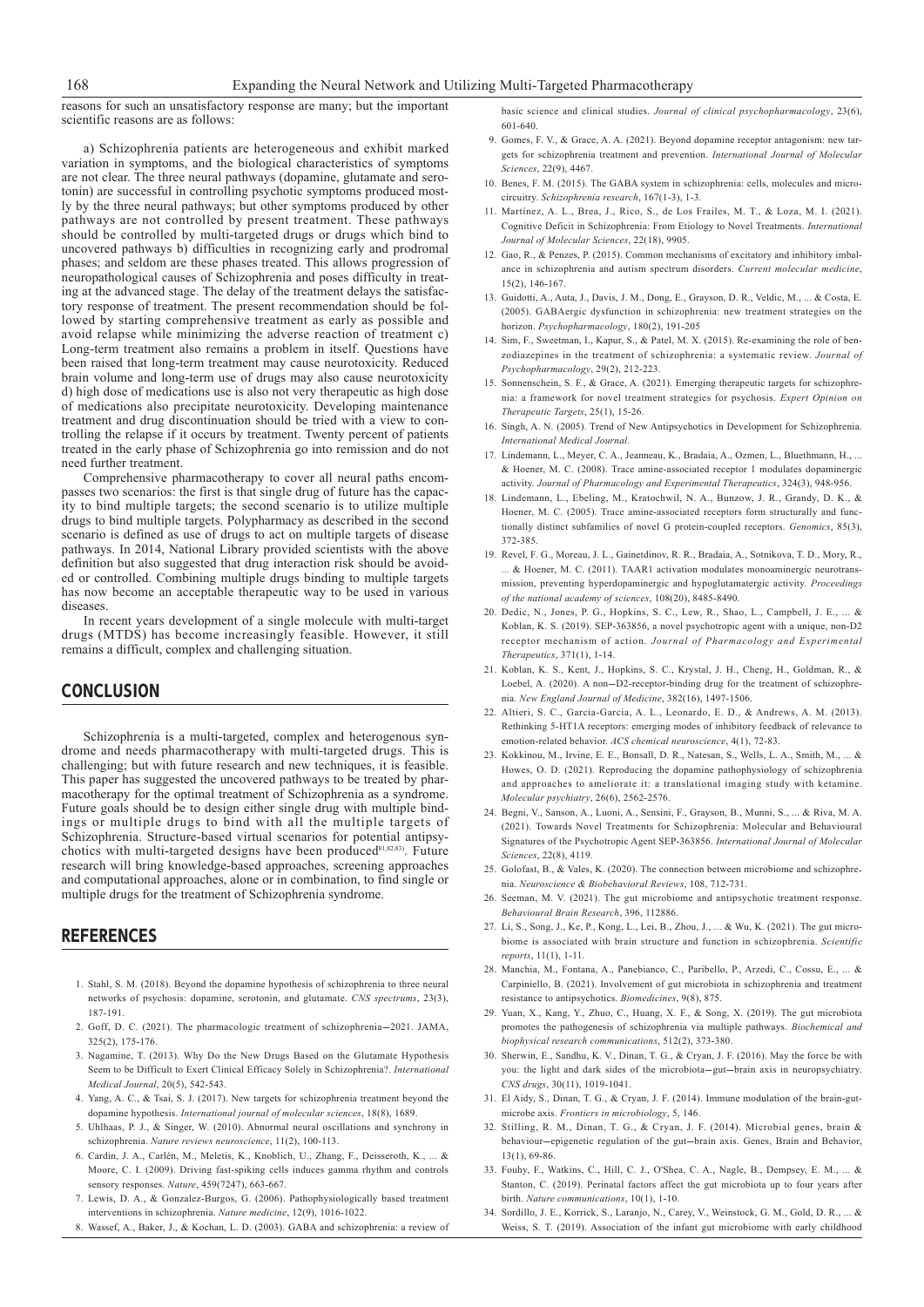reasons for such an unsatisfactory response are many; but the important scientific reasons are as follows:

a) Schizophrenia patients are heterogeneous and exhibit marked variation in symptoms, and the biological characteristics of symptoms are not clear. The three neural pathways (dopamine, glutamate and serotonin) are successful in controlling psychotic symptoms produced mostly by the three neural pathways; but other symptoms produced by other pathways are not controlled by present treatment. These pathways should be controlled by multi-targeted drugs or drugs which bind to uncovered pathways b) difficulties in recognizing early and prodromal phases; and seldom are these phases treated. This allows progression of neuropathological causes of Schizophrenia and poses difficulty in treating at the advanced stage. The delay of the treatment delays the satisfactory response of treatment. The present recommendation should be followed by starting comprehensive treatment as early as possible and avoid relapse while minimizing the adverse reaction of treatment c) Long-term treatment also remains a problem in itself. Questions have been raised that long-term treatment may cause neurotoxicity. Reduced brain volume and long-term use of drugs may also cause neurotoxicity d) high dose of medications use is also not very therapeutic as high dose of medications also precipitate neurotoxicity. Developing maintenance treatment and drug discontinuation should be tried with a view to controlling the relapse if it occurs by treatment. Twenty percent of patients treated in the early phase of Schizophrenia go into remission and do not need further treatment.

Comprehensive pharmacotherapy to cover all neural paths encompasses two scenarios: the first is that single drug of future has the capacity to bind multiple targets; the second scenario is to utilize multiple drugs to bind multiple targets. Polypharmacy as described in the second scenario is defined as use of drugs to act on multiple targets of disease pathways. In 2014, National Library provided scientists with the above definition but also suggested that drug interaction risk should be avoided or controlled. Combining multiple drugs binding to multiple targets has now become an acceptable therapeutic way to be used in various diseases.

In recent years development of a single molecule with multi-target drugs (MTDS) has become increasingly feasible. However, it still remains a difficult, complex and challenging situation.

### **CONCLUSION**

Schizophrenia is a multi-targeted, complex and heterogenous syndrome and needs pharmacotherapy with multi-targeted drugs. This is challenging; but with future research and new techniques, it is feasible. This paper has suggested the uncovered pathways to be treated by pharmacotherapy for the optimal treatment of Schizophrenia as a syndrome. Future goals should be to design either single drug with multiple bindings or multiple drugs to bind with all the multiple targets of Schizophrenia. Structure-based virtual scenarios for potential antipsychotics with multi-targeted designs have been produced $81,82,83)$ . Future research will bring knowledge-based approaches, screening approaches and computational approaches, alone or in combination, to find single or multiple drugs for the treatment of Schizophrenia syndrome.

#### **REFERENCES**

- 1. Stahl, S. M. (2018). Beyond the dopamine hypothesis of schizophrenia to three neural networks of psychosis: dopamine, serotonin, and glutamate. *CNS spectrums*, 23(3), 187-191.
- 2. Goff, D. C. (2021). The pharmacologic treatment of schizophrenia-2021. JAMA, 325(2), 175-176.
- 3. Nagamine, T. (2013). Why Do the New Drugs Based on the Glutamate Hypothesis Seem to be Difficult to Exert Clinical Efficacy Solely in Schizophrenia?. *International Medical Journal*, 20(5), 542-543.
- 4. Yang, A. C., & Tsai, S. J. (2017). New targets for schizophrenia treatment beyond the dopamine hypothesis. *International journal of molecular sciences*, 18(8), 1689.
- 5. Uhlhaas, P. J., & Singer, W. (2010). Abnormal neural oscillations and synchrony in schizophrenia. *Nature reviews neuroscience*, 11(2), 100-113.
- 6. Cardin, J. A., Carlén, M., Meletis, K., Knoblich, U., Zhang, F., Deisseroth, K., ... & Moore, C. I. (2009). Driving fast-spiking cells induces gamma rhythm and controls sensory responses. *Nature*, 459(7247), 663-667.
- 7. Lewis, D. A., & Gonzalez-Burgos, G. (2006). Pathophysiologically based treatment interventions in schizophrenia. *Nature medicine*, 12(9), 1016-1022.
- 8. Wassef, A., Baker, J., & Kochan, L. D. (2003). GABA and schizophrenia: a review of

basic science and clinical studies. *Journal of clinical psychopharmacology*, 23(6), 601-640.

- 9. Gomes, F. V., & Grace, A. A. (2021). Beyond dopamine receptor antagonism: new targets for schizophrenia treatment and prevention. *International Journal of Molecular Sciences*, 22(9), 4467.
- 10. Benes, F. M. (2015). The GABA system in schizophrenia: cells, molecules and microcircuitry. *Schizophrenia research*, 167(1-3), 1-3.
- 11. Martínez, A. L., Brea, J., Rico, S., de Los Frailes, M. T., & Loza, M. I. (2021). Cognitive Deficit in Schizophrenia: From Etiology to Novel Treatments. *International Journal of Molecular Sciences*, 22(18), 9905.
- 12. Gao, R., & Penzes, P. (2015). Common mechanisms of excitatory and inhibitory imbalance in schizophrenia and autism spectrum disorders. *Current molecular medicine*, 15(2), 146-167.
- 13. Guidotti, A., Auta, J., Davis, J. M., Dong, E., Grayson, D. R., Veldic, M., ... & Costa, E. (2005). GABAergic dysfunction in schizophrenia: new treatment strategies on the horizon. *Psychopharmacology*, 180(2), 191-205
- 14. Sim, F., Sweetman, I., Kapur, S., & Patel, M. X. (2015). Re-examining the role of benzodiazepines in the treatment of schizophrenia: a systematic review. *Journal of Psychopharmacology*, 29(2), 212-223.
- 15. Sonnenschein, S. F., & Grace, A. (2021). Emerging therapeutic targets for schizophrenia: a framework for novel treatment strategies for psychosis. *Expert Opinion on Therapeutic Targets*, 25(1), 15-26.
- 16. Singh, A. N. (2005). Trend of New Antipsychotics in Development for Schizophrenia. *International Medical Journal*.
- 17. Lindemann, L., Meyer, C. A., Jeanneau, K., Bradaia, A., Ozmen, L., Bluethmann, H., ... & Hoener, M. C. (2008). Trace amine-associated receptor 1 modulates dopaminergic activity. *Journal of Pharmacology and Experimental Therapeutics*, 324(3), 948-956.
- 18. Lindemann, L., Ebeling, M., Kratochwil, N. A., Bunzow, J. R., Grandy, D. K., & Hoener, M. C. (2005). Trace amine-associated receptors form structurally and functionally distinct subfamilies of novel G protein-coupled receptors. *Genomics*, 85(3), 372-385.
- 19. Revel, F. G., Moreau, J. L., Gainetdinov, R. R., Bradaia, A., Sotnikova, T. D., Mory, R., ... & Hoener, M. C. (2011). TAAR1 activation modulates monoaminergic neurotransmission, preventing hyperdopaminergic and hypoglutamatergic activity. *Proceedings of the national academy of sciences*, 108(20), 8485-8490.
- 20. Dedic, N., Jones, P. G., Hopkins, S. C., Lew, R., Shao, L., Campbell, J. E., ... & Koblan, K. S. (2019). SEP-363856, a novel psychotropic agent with a unique, non-D2 receptor mechanism of action. *Journal of Pharmacology and Experimental Therapeutics*, 371(1), 1-14.
- 21. Koblan, K. S., Kent, J., Hopkins, S. C., Krystal, J. H., Cheng, H., Goldman, R., & Loebel, A. (2020). A non-D2-receptor-binding drug for the treatment of schizophrenia. *New England Journal of Medicine*, 382(16), 1497-1506.
- 22. Altieri, S. C., Garcia-Garcia, A. L., Leonardo, E. D., & Andrews, A. M. (2013). Rethinking 5-HT1A receptors: emerging modes of inhibitory feedback of relevance to emotion-related behavior. *ACS chemical neuroscience*, 4(1), 72-83.
- 23. Kokkinou, M., Irvine, E. E., Bonsall, D. R., Natesan, S., Wells, L. A., Smith, M., ... & Howes, O. D. (2021). Reproducing the dopamine pathophysiology of schizophrenia and approaches to ameliorate it: a translational imaging study with ketamine. *Molecular psychiatry*, 26(6), 2562-2576.
- 24. Begni, V., Sanson, A., Luoni, A., Sensini, F., Grayson, B., Munni, S., ... & Riva, M. A. (2021). Towards Novel Treatments for Schizophrenia: Molecular and Behavioural Signatures of the Psychotropic Agent SEP-363856. *International Journal of Molecular Sciences*, 22(8), 4119.
- 25. Golofast, B., & Vales, K. (2020). The connection between microbiome and schizophrenia. *Neuroscience & Biobehavioral Reviews*, 108, 712-731.
- 26. Seeman, M. V. (2021). The gut microbiome and antipsychotic treatment response. *Behavioural Brain Research*, 396, 112886.
- 27. Li, S., Song, J., Ke, P., Kong, L., Lei, B., Zhou, J., ... & Wu, K. (2021). The gut microbiome is associated with brain structure and function in schizophrenia. *Scientific reports*, 11(1), 1-11.
- 28. Manchia, M., Fontana, A., Panebianco, C., Paribello, P., Arzedi, C., Cossu, E., ... & Carpiniello, B. (2021). Involvement of gut microbiota in schizophrenia and treatment resistance to antipsychotics. *Biomedicines*, 9(8), 875.
- 29. Yuan, X., Kang, Y., Zhuo, C., Huang, X. F., & Song, X. (2019). The gut microbiota promotes the pathogenesis of schizophrenia via multiple pathways. *Biochemical and biophysical research communications*, 512(2), 373-380.
- 30. Sherwin, E., Sandhu, K. V., Dinan, T. G., & Cryan, J. F. (2016). May the force be with you: the light and dark sides of the microbiota-gut-brain axis in neuropsychiatry. *CNS drugs*, 30(11), 1019-1041.
- 31. El Aidy, S., Dinan, T. G., & Cryan, J. F. (2014). Immune modulation of the brain-gutmicrobe axis. *Frontiers in microbiology*, 5, 146.
- 32. Stilling, R. M., Dinan, T. G., & Cryan, J. F. (2014). Microbial genes, brain & behaviour--epigenetic regulation of the gut--brain axis. Genes, Brain and Behavior, 13(1), 69-86.
- 33. Fouhy, F., Watkins, C., Hill, C. J., O'Shea, C. A., Nagle, B., Dempsey, E. M., ... & Stanton, C. (2019). Perinatal factors affect the gut microbiota up to four years after birth. *Nature communications*, 10(1), 1-10.
- 34. Sordillo, J. E., Korrick, S., Laranjo, N., Carey, V., Weinstock, G. M., Gold, D. R., ... & Weiss, S. T. (2019). Association of the infant gut microbiome with early childhood